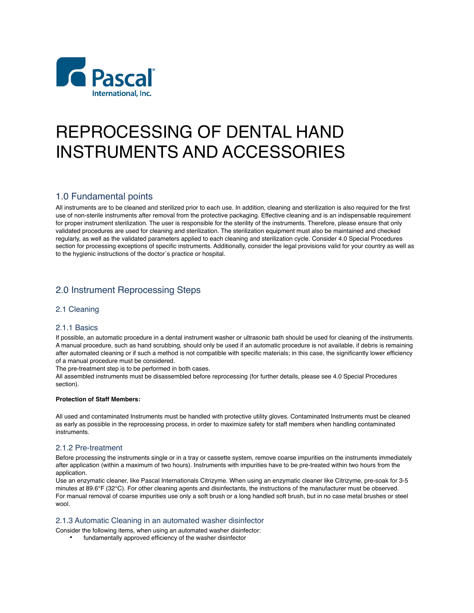

# REPROCESSING OF DENTAL HAND INSTRUMENTS AND ACCESSORIES

# 1.0 Fundamental points

All instruments are to be cleaned and sterilized prior to each use. In addition, cleaning and sterilization is also required for the first use of non-sterile instruments after removal from the protective packaging. Effective cleaning and is an indispensable requirement for proper instrument sterilization. The user is responsible for the sterility of the instruments. Therefore, please ensure that only validated procedures are used for cleaning and sterilization. The sterilization equipment must also be maintained and checked regularly, as well as the validated parameters applied to each cleaning and sterilization cycle. Consider 4.0 Special Procedures section for processing exceptions of specific instruments. Additionally, consider the legal provisions valid for your country as well as to the hygienic instructions of the doctor´s practice or hospital.

# 2.0 Instrument Reprocessing Steps

# 2.1 Cleaning

# 2.1.1 Basics

If possible, an automatic procedure in a dental instrument washer or ultrasonic bath should be used for cleaning of the instruments. A manual procedure, such as hand scrubbing, should only be used if an automatic procedure is not available, if debris is remaining after automated cleaning or if such a method is not compatible with specific materials; in this case, the significantly lower efficiency of a manual procedure must be considered.

The pre-treatment step is to be performed in both cases.

All assembled instruments must be disassembled before reprocessing (for further details, please see 4.0 Special Procedures section).

#### **Protection of Staff Members:**

All used and contaminated Instruments must be handled with protective utility gloves. Contaminated Instruments must be cleaned as early as possible in the reprocessing process, in order to maximize safety for staff members when handling contaminated instruments.

# 2.1.2 Pre-treatment

Before processing the instruments single or in a tray or cassette system, remove coarse impurities on the instruments immediately after application (within a maximum of two hours). Instruments with impurities have to be pre-treated within two hours from the application.

Use an enzymatic cleaner, like Pascal Internationals Citrizyme. When using an enzymatic cleaner like Citrizyme, pre-soak for 3-5 minutes at 89.6°F (32°C). For other cleaning agents and disinfectants, the instructions of the manufacturer must be observed. For manual removal of coarse impurities use only a soft brush or a long handled soft brush, but in no case metal brushes or steel wool.

# 2.1.3 Automatic Cleaning in an automated washer disinfector

Consider the following items, when using an automated washer disinfector:

• fundamentally approved efficiency of the washer disinfector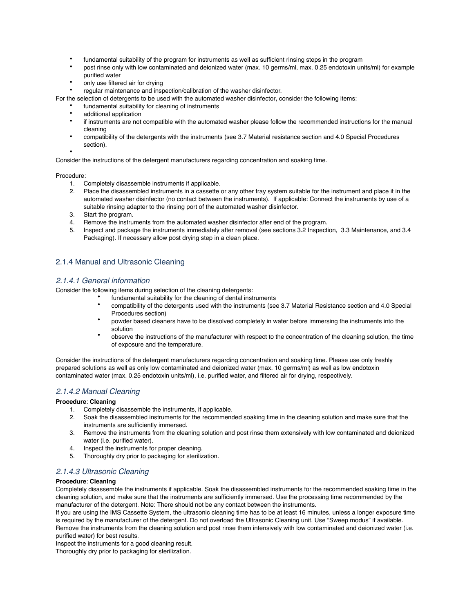- fundamental suitability of the program for instruments as well as sufficient rinsing steps in the program
- post rinse only with low contaminated and deionized water (max. 10 germs/ml, max. 0.25 endotoxin units/ml) for example purified water
- only use filtered air for drying
- regular maintenance and inspection/calibration of the washer disinfector.
- For the selection of detergents to be used with the automated washer disinfector**,** consider the following items:
	- fundamental suitability for cleaning of instruments
	- additional application
	- if instruments are not compatible with the automated washer please follow the recommended instructions for the manual cleaning
	- compatibility of the detergents with the instruments (see 3.7 Material resistance section and 4.0 Special Procedures section).

Consider the instructions of the detergent manufacturers regarding concentration and soaking time.

#### Procedure:

•

- 1. Completely disassemble instruments if applicable.
- 2. Place the disassembled instruments in a cassette or any other tray system suitable for the instrument and place it in the automated washer disinfector (no contact between the instruments). If applicable: Connect the instruments by use of a suitable rinsing adapter to the rinsing port of the automated washer disinfector.
- 3. Start the program.
- 4. Remove the instruments from the automated washer disinfector after end of the program.
- 5. Inspect and package the instruments immediately after removal (see sections 3.2 Inspection, 3.3 Maintenance, and 3.4 Packaging). If necessary allow post drying step in a clean place.

# 2.1.4 Manual and Ultrasonic Cleaning

# *2.1.4.1 General information*

Consider the following items during selection of the cleaning detergents:

- fundamental suitability for the cleaning of dental instruments
- compatibility of the detergents used with the instruments (see 3.7 Material Resistance section and 4.0 Special Procedures section)
- powder based cleaners have to be dissolved completely in water before immersing the instruments into the solution
- observe the instructions of the manufacturer with respect to the concentration of the cleaning solution, the time of exposure and the temperature.

Consider the instructions of the detergent manufacturers regarding concentration and soaking time. Please use only freshly prepared solutions as well as only low contaminated and deionized water (max. 10 germs/ml) as well as low endotoxin contaminated water (max. 0.25 endotoxin units/ml), i.e. purified water, and filtered air for drying, respectively.

# *2.1.4.2 Manual Cleaning*

#### **Procedure**: **Cleaning**

- 1. Completely disassemble the instruments, if applicable.
- 2. Soak the disassembled instruments for the recommended soaking time in the cleaning solution and make sure that the instruments are sufficiently immersed.
- 3. Remove the instruments from the cleaning solution and post rinse them extensively with low contaminated and deionized water (i.e. purified water).
- 4. Inspect the instruments for proper cleaning.
- 5. Thoroughly dry prior to packaging for sterilization.

# *2.1.4.3 Ultrasonic Cleaning*

#### **Procedure**: **Cleaning**

Completely disassemble the instruments if applicable. Soak the disassembled instruments for the recommended soaking time in the cleaning solution, and make sure that the instruments are sufficiently immersed. Use the processing time recommended by the manufacturer of the detergent. Note: There should not be any contact between the instruments.

If you are using the IMS Cassette System, the ultrasonic cleaning time has to be at least 16 minutes, unless a longer exposure time is required by the manufacturer of the detergent. Do not overload the Ultrasonic Cleaning unit. Use "Sweep modus" if available. Remove the instruments from the cleaning solution and post rinse them intensively with low contaminated and deionized water (i.e. purified water) for best results.

Inspect the instruments for a good cleaning result.

Thoroughly dry prior to packaging for sterilization.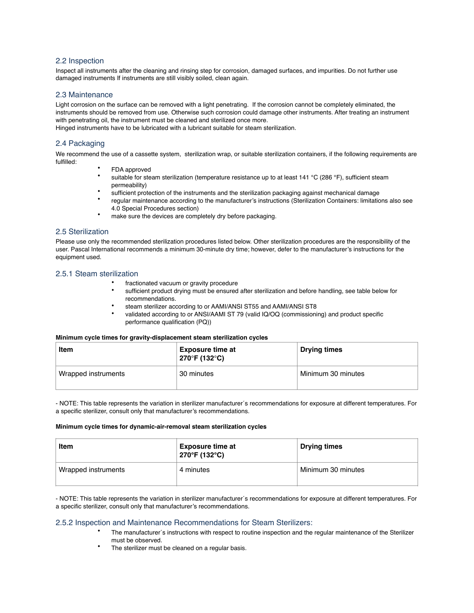#### 2.2 Inspection

Inspect all instruments after the cleaning and rinsing step for corrosion, damaged surfaces, and impurities. Do not further use damaged instruments If instruments are still visibly soiled, clean again.

#### 2.3 Maintenance

Light corrosion on the surface can be removed with a light penetrating. If the corrosion cannot be completely eliminated, the instruments should be removed from use. Otherwise such corrosion could damage other instruments. After treating an instrument with penetrating oil, the instrument must be cleaned and sterilized once more.

Hinged instruments have to be lubricated with a lubricant suitable for steam sterilization.

# 2.4 Packaging

We recommend the use of a cassette system, sterilization wrap, or suitable sterilization containers, if the following requirements are fulfilled:

- FDA approved
- suitable for steam sterilization (temperature resistance up to at least 141 °C (286 °F), sufficient steam permeability)
- sufficient protection of the instruments and the sterilization packaging against mechanical damage
- regular maintenance according to the manufacturer's instructions (Sterilization Containers: limitations also see 4.0 Special Procedures section)
- make sure the devices are completely dry before packaging.

# 2.5 Sterilization

Please use only the recommended sterilization procedures listed below. Other sterilization procedures are the responsibility of the user. Pascal International recommends a minimum 30-minute dry time; however, defer to the manufacturer's instructions for the equipment used.

#### 2.5.1 Steam sterilization

- fractionated vacuum or gravity procedure
- sufficient product drying must be ensured after sterilization and before handling, see table below for recommendations.
- steam sterilizer according to or AAMI/ANSI ST55 and AAMI/ANSI ST8
- validated according to or ANSI/AAMI ST 79 (valid IQ/OQ (commissioning) and product specific performance qualification (PQ))

#### **Minimum cycle times for gravity-displacement steam sterilization cycles**

| Item                | <b>Exposure time at</b><br>270°F (132°C) | <b>Drying times</b> |
|---------------------|------------------------------------------|---------------------|
| Wrapped instruments | 30 minutes                               | Minimum 30 minutes  |

- NOTE: This table represents the variation in sterilizer manufacturer´s recommendations for exposure at different temperatures. For a specific sterilizer, consult only that manufacturer's recommendations.

#### **Minimum cycle times for dynamic-air-removal steam sterilization cycles**

| Item                | <b>Exposure time at</b><br>270°F (132°C) | <b>Drying times</b> |
|---------------------|------------------------------------------|---------------------|
| Wrapped instruments | 4 minutes                                | Minimum 30 minutes  |

- NOTE: This table represents the variation in sterilizer manufacturer´s recommendations for exposure at different temperatures. For a specific sterilizer, consult only that manufacturer's recommendations.

# 2.5.2 Inspection and Maintenance Recommendations for Steam Sterilizers:

- The manufacturer´s instructions with respect to routine inspection and the regular maintenance of the Sterilizer must be observed.
- The sterilizer must be cleaned on a regular basis.